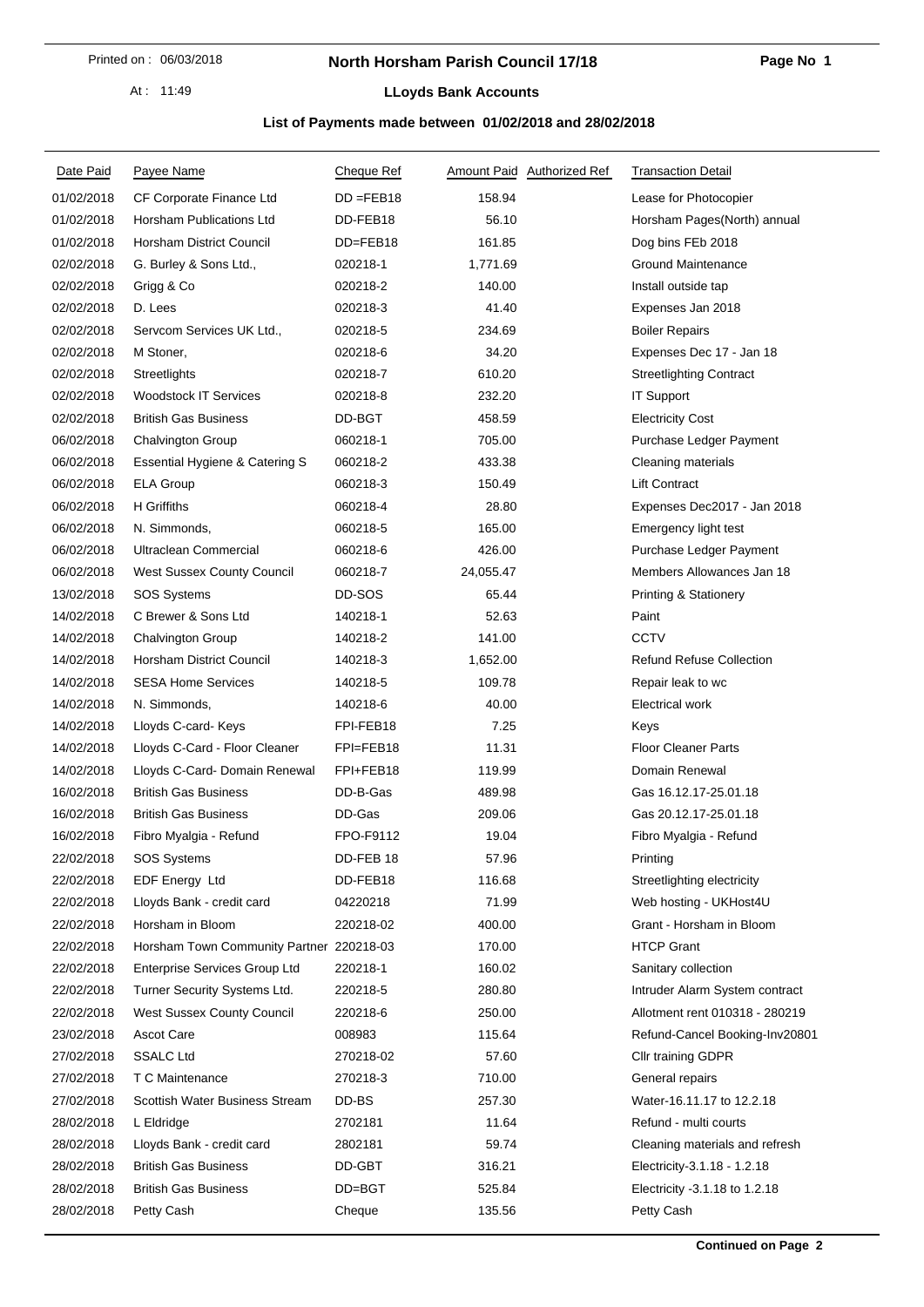At : 11:49

## **North Horsham Parish Council 17/18**

#### **LLoyds Bank Accounts**

### **List of Payments made between 01/02/2018 and 28/02/2018**

| Date Paid  | Payee Name                               | Cheque Ref   | Amount Paid Authorized Ref | <b>Transaction Detail</b>        |
|------------|------------------------------------------|--------------|----------------------------|----------------------------------|
| 01/02/2018 | CF Corporate Finance Ltd                 | $DD = FEB18$ | 158.94                     | Lease for Photocopier            |
| 01/02/2018 | Horsham Publications Ltd                 | DD-FEB18     | 56.10                      | Horsham Pages(North) annual      |
| 01/02/2018 | Horsham District Council                 | DD=FEB18     | 161.85                     | Dog bins FEb 2018                |
| 02/02/2018 | G. Burley & Sons Ltd.,                   | 020218-1     | 1,771.69                   | <b>Ground Maintenance</b>        |
| 02/02/2018 | Grigg & Co                               | 020218-2     | 140.00                     | Install outside tap              |
| 02/02/2018 | D. Lees                                  | 020218-3     | 41.40                      | Expenses Jan 2018                |
| 02/02/2018 | Servcom Services UK Ltd.,                | 020218-5     | 234.69                     | <b>Boiler Repairs</b>            |
| 02/02/2018 | M Stoner,                                | 020218-6     | 34.20                      | Expenses Dec 17 - Jan 18         |
| 02/02/2018 | Streetlights                             | 020218-7     | 610.20                     | <b>Streetlighting Contract</b>   |
| 02/02/2018 | <b>Woodstock IT Services</b>             | 020218-8     | 232.20                     | <b>IT Support</b>                |
| 02/02/2018 | <b>British Gas Business</b>              | DD-BGT       | 458.59                     | <b>Electricity Cost</b>          |
| 06/02/2018 | Chalvington Group                        | 060218-1     | 705.00                     | Purchase Ledger Payment          |
| 06/02/2018 | Essential Hygiene & Catering S           | 060218-2     | 433.38                     | Cleaning materials               |
| 06/02/2018 | <b>ELA Group</b>                         | 060218-3     | 150.49                     | <b>Lift Contract</b>             |
| 06/02/2018 | H Griffiths                              | 060218-4     | 28.80                      | Expenses Dec2017 - Jan 2018      |
| 06/02/2018 | N. Simmonds,                             | 060218-5     | 165.00                     | Emergency light test             |
| 06/02/2018 | Ultraclean Commercial                    | 060218-6     | 426.00                     | Purchase Ledger Payment          |
| 06/02/2018 | West Sussex County Council               | 060218-7     | 24,055.47                  | Members Allowances Jan 18        |
| 13/02/2018 | <b>SOS Systems</b>                       | DD-SOS       | 65.44                      | <b>Printing &amp; Stationery</b> |
| 14/02/2018 | C Brewer & Sons Ltd                      | 140218-1     | 52.63                      | Paint                            |
| 14/02/2018 | Chalvington Group                        | 140218-2     | 141.00                     | <b>CCTV</b>                      |
| 14/02/2018 | Horsham District Council                 | 140218-3     | 1,652.00                   | <b>Refund Refuse Collection</b>  |
| 14/02/2018 | <b>SESA Home Services</b>                | 140218-5     | 109.78                     | Repair leak to wc                |
| 14/02/2018 | N. Simmonds,                             | 140218-6     | 40.00                      | <b>Electrical work</b>           |
| 14/02/2018 | Lloyds C-card- Keys                      | FPI-FEB18    | 7.25                       | Keys                             |
| 14/02/2018 | Lloyds C-Card - Floor Cleaner            | FPI=FEB18    | 11.31                      | <b>Floor Cleaner Parts</b>       |
| 14/02/2018 | Lloyds C-Card- Domain Renewal            | FPI+FEB18    | 119.99                     | Domain Renewal                   |
| 16/02/2018 | <b>British Gas Business</b>              | DD-B-Gas     | 489.98                     | Gas 16.12.17-25.01.18            |
| 16/02/2018 | <b>British Gas Business</b>              | DD-Gas       | 209.06                     | Gas 20.12.17-25.01.18            |
| 16/02/2018 | Fibro Myalgia - Refund                   | FPO-F9112    | 19.04                      | Fibro Myalgia - Refund           |
| 22/02/2018 | <b>SOS Systems</b>                       | DD-FEB 18    | 57.96                      | Printing                         |
| 22/02/2018 | <b>EDF Energy Ltd</b>                    | DD-FEB18     | 116.68                     | Streetlighting electricity       |
| 22/02/2018 | Lloyds Bank - credit card                | 04220218     | 71.99                      | Web hosting - UKHost4U           |
| 22/02/2018 | Horsham in Bloom                         | 220218-02    | 400.00                     | Grant - Horsham in Bloom         |
| 22/02/2018 | Horsham Town Community Partner 220218-03 |              | 170.00                     | <b>HTCP Grant</b>                |
| 22/02/2018 | <b>Enterprise Services Group Ltd</b>     | 220218-1     | 160.02                     | Sanitary collection              |
| 22/02/2018 | Turner Security Systems Ltd.             | 220218-5     | 280.80                     | Intruder Alarm System contract   |
| 22/02/2018 | <b>West Sussex County Council</b>        | 220218-6     | 250.00                     | Allotment rent 010318 - 280219   |
| 23/02/2018 | Ascot Care                               | 008983       | 115.64                     | Refund-Cancel Booking-Inv20801   |
| 27/02/2018 | <b>SSALC Ltd</b>                         | 270218-02    | 57.60                      | <b>Cllr training GDPR</b>        |
| 27/02/2018 | T C Maintenance                          | 270218-3     | 710.00                     | General repairs                  |
| 27/02/2018 | Scottish Water Business Stream           | DD-BS        | 257.30                     | Water-16.11.17 to 12.2.18        |
| 28/02/2018 | L Eldridge                               | 2702181      | 11.64                      | Refund - multi courts            |
| 28/02/2018 | Lloyds Bank - credit card                | 2802181      | 59.74                      | Cleaning materials and refresh   |
| 28/02/2018 | <b>British Gas Business</b>              | DD-GBT       | 316.21                     | Electricity-3.1.18 - 1.2.18      |
| 28/02/2018 | <b>British Gas Business</b>              | DD=BGT       | 525.84                     | Electricity -3.1.18 to 1.2.18    |
| 28/02/2018 | Petty Cash                               | Cheque       | 135.56                     | Petty Cash                       |
|            |                                          |              |                            |                                  |